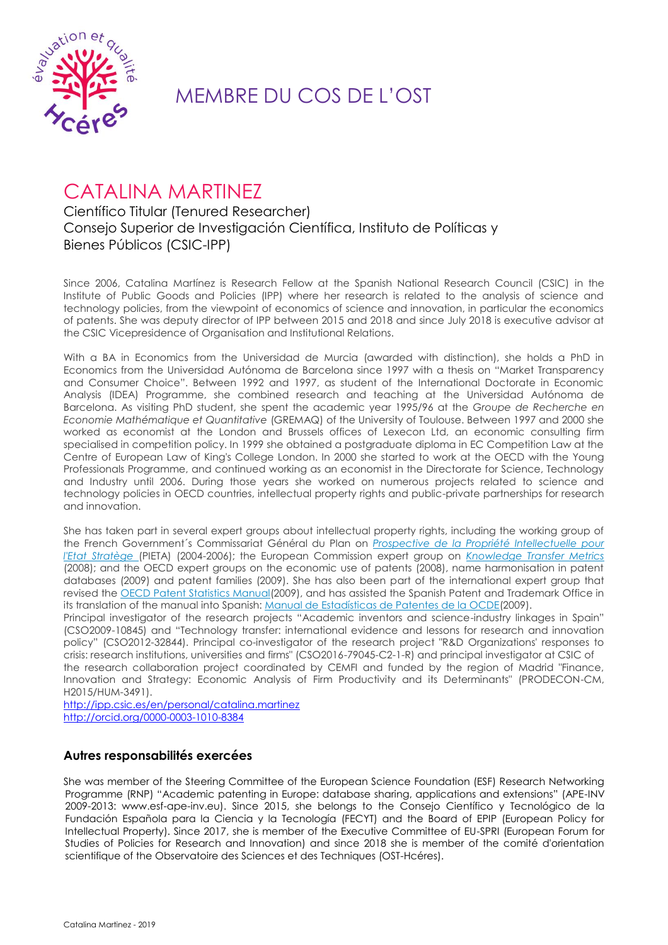

## MEMBRE DU COS DE L'OST

# CATALINA MARTINEZ

### Científico Titular (Tenured Researcher) Consejo Superior de Investigación Científica, Instituto de Políticas y Bienes Públicos (CSIC-IPP)

Since 2006, Catalina Martínez is Research Fellow at the Spanish National Research Council (CSIC) in the Institute of Public Goods and Policies (IPP) where her research is related to the analysis of science and technology policies, from the viewpoint of economics of science and innovation, in particular the economics of patents. She was deputy director of IPP between 2015 and 2018 and since July 2018 is executive advisor at the CSIC Vicepresidence of Organisation and Institutional Relations.

With a BA in Economics from the Universidad de Murcia (awarded with distinction), she holds a PhD in Economics from the Universidad Autónoma de Barcelona since 1997 with a thesis on "Market Transparency and Consumer Choice". Between 1992 and 1997, as student of the International Doctorate in Economic Analysis (IDEA) Programme, she combined research and teaching at the Universidad Autónoma de Barcelona. As visiting PhD student, she spent the academic year 1995/96 at the *Groupe de Recherche en Economie Mathématique et Quantitative* (GREMAQ) of the University of Toulouse. Between 1997 and 2000 she worked as economist at the London and Brussels offices of Lexecon Ltd, an economic consulting firm specialised in competition policy. In 1999 she obtained a postgraduate diploma in EC Competition Law at the Centre of European Law of King's College London. In 2000 she started to work at the OECD with the Young Professionals Programme, and continued working as an economist in the Directorate for Science, Technology and Industry until 2006. During those years she worked on numerous projects related to science and technology policies in OECD countries, intellectual property rights and public-private partnerships for research and innovation.

She has taken part in several expert groups about intellectual property rights, including the working group of the French Government´s Commissariat Général du Plan on *[Prospective de la Propriété Intellectuelle pour](http://breese.blogs.com/pi/files/Rapport_PIETA_2006.pdf)  [l'Etat Stratège](http://breese.blogs.com/pi/files/Rapport_PIETA_2006.pdf)* (PIETA) (2004-2006); the European Commission expert group on *[Knowledge Transfer Metrics](http://ec.europa.eu/invest-in-research/pdf/download_en/knowledge_transfer_web.pdf)* (2008); and the OECD expert groups on the economic use of patents (2008), name harmonisation in patent databases (2009) and patent families (2009). She has also been part of the international expert group that revised the [OECD Patent Statistics Manual\(](http://www.oecd.org/document/56/0,3343,en_2649_34409_42168029_1_1_1_1,00.html)2009), and has assisted the Spanish Patent and Trademark Office in its translation of the manual into Spanish: [Manual de Estadísticas de Patentes de la OCDE\(](http://www.oepm.es/cs/Satellite?blobcol=urldata&blobheader=application%2Fpdf&blobheadername1=Content-Disposition&blobheadername2=MDT-Type&blobheadervalue1=inline%3B+filename%3DEstadisticas_OCDE.pdf&blobheadervalue2=abinary%3B+charset%3DUTF-8&blobkey=id&blo)2009).

Principal investigator of the research projects "Academic inventors and science-industry linkages in Spain" (CSO2009-10845) and "Technology transfer: international evidence and lessons for research and innovation policy" (CSO2012-32844). Principal co-investigator of the research project "R&D Organizations' responses to crisis: research institutions, universities and firms" (CSO2016-79045-C2-1-R) and principal investigator at CSIC of the research collaboration project coordinated by CEMFI and funded by the region of Madrid "Finance, Innovation and Strategy: Economic Analysis of Firm Productivity and its Determinants" (PRODECON-CM, H2015/HUM-3491).

<http://ipp.csic.es/en/personal/catalina.martinez> <http://orcid.org/0000-0003-1010-8384>

#### **Autres responsabilités exercées**

She was member of the Steering Committee of the European Science Foundation (ESF) Research Networking Programme (RNP) "Academic patenting in Europe: database sharing, applications and extensions" (APE-INV 2009-2013: www.esf-ape-inv.eu). Since 2015, she belongs to the Consejo Científico y Tecnológico de la Fundación Española para la Ciencia y la Tecnología (FECYT) and the Board of EPIP (European Policy for Intellectual Property). Since 2017, she is member of the Executive Committee of EU-SPRI (European Forum for Studies of Policies for Research and Innovation) and since 2018 she is member of the comité d'orientation scientifique of the Observatoire des Sciences et des Techniques (OST-Hcéres).